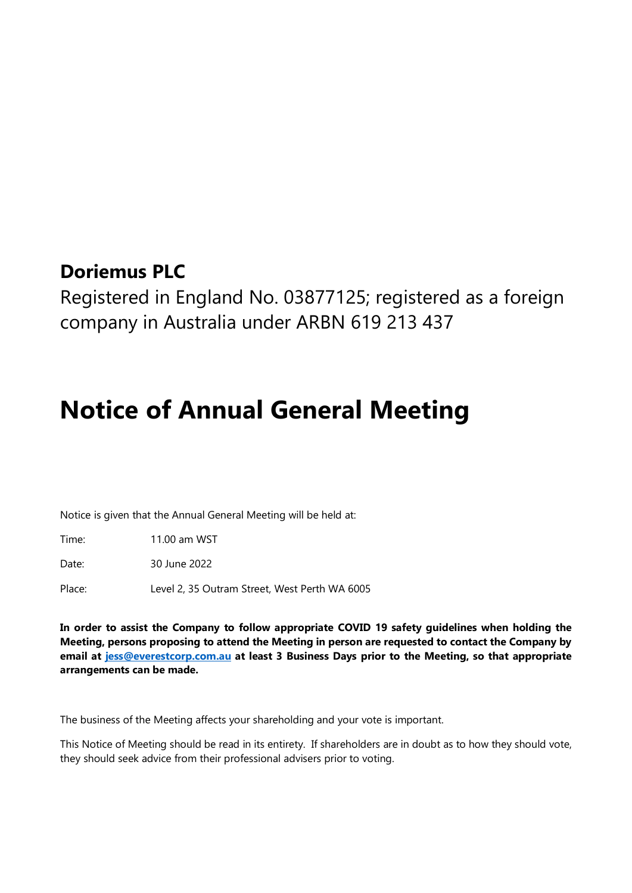## **Doriemus PLC**

Registered in England No. 03877125; registered as a foreign company in Australia under ARBN 619 213 437

# **Notice of Annual General Meeting**

Notice is given that the Annual General Meeting will be held at:

Time: 11.00 am WST

Date: 30 June 2022

Place: Level 2, 35 Outram Street, West Perth WA 6005

**In order to assist the Company to follow appropriate COVID 19 safety guidelines when holding the Meeting, persons proposing to attend the Meeting in person are requested to contact the Company by email at [jess@everestcorp.com.au](mailto:jess@everestcorp.com.au) at least 3 Business Days prior to the Meeting, so that appropriate arrangements can be made.** 

The business of the Meeting affects your shareholding and your vote is important.

This Notice of Meeting should be read in its entirety. If shareholders are in doubt as to how they should vote, they should seek advice from their professional advisers prior to voting.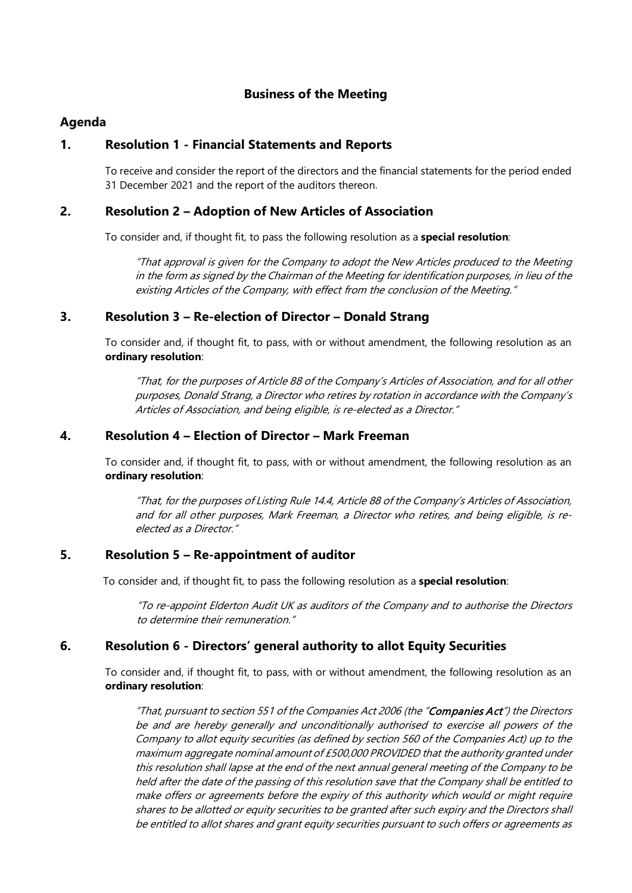### **Business of the Meeting**

### **Agenda**

### **1. Resolution 1 - Financial Statements and Reports**

To receive and consider the report of the directors and the financial statements for the period ended 31 December 2021 and the report of the auditors thereon.

### **2. Resolution 2 – Adoption of New Articles of Association**

To consider and, if thought fit, to pass the following resolution as a **special resolution**:

"That approval is given for the Company to adopt the New Articles produced to the Meeting in the form as signed by the Chairman of the Meeting for identification purposes, in lieu of the existing Articles of the Company, with effect from the conclusion of the Meeting."

### **3. Resolution 3 – Re-election of Director – Donald Strang**

To consider and, if thought fit, to pass, with or without amendment, the following resolution as an **ordinary resolution**:

"That, for the purposes of Article 88 of the Company's Articles of Association, and for all other purposes, Donald Strang, a Director who retires by rotation in accordance with the Company's Articles of Association, and being eligible, is re-elected as a Director."

### **4. Resolution 4 – Election of Director – Mark Freeman**

To consider and, if thought fit, to pass, with or without amendment, the following resolution as an **ordinary resolution**:

"That, for the purposes of Listing Rule 14.4, Article 88 of the Company's Articles of Association, and for all other purposes, Mark Freeman, a Director who retires, and being eligible, is reelected as a Director."

### **5. Resolution 5 – Re-appointment of auditor**

To consider and, if thought fit, to pass the following resolution as a **special resolution**:

"To re-appoint Elderton Audit UK as auditors of the Company and to authorise the Directors to determine their remuneration."

### **6. Resolution 6 - Directors' general authority to allot Equity Securities**

To consider and, if thought fit, to pass, with or without amendment, the following resolution as an **ordinary resolution**:

"That, pursuant to section 551 of the Companies Act 2006 (the "Companies Act") the Directors be and are hereby generally and unconditionally authorised to exercise all powers of the Company to allot equity securities (as defined by section 560 of the Companies Act) up to the maximum aggregate nominal amount of £500,000 PROVIDED that the authority granted under this resolution shall lapse at the end of the next annual general meeting of the Company to be held after the date of the passing of this resolution save that the Company shall be entitled to make offers or agreements before the expiry of this authority which would or might require shares to be allotted or equity securities to be granted after such expiry and the Directors shall be entitled to allot shares and grant equity securities pursuant to such offers or agreements as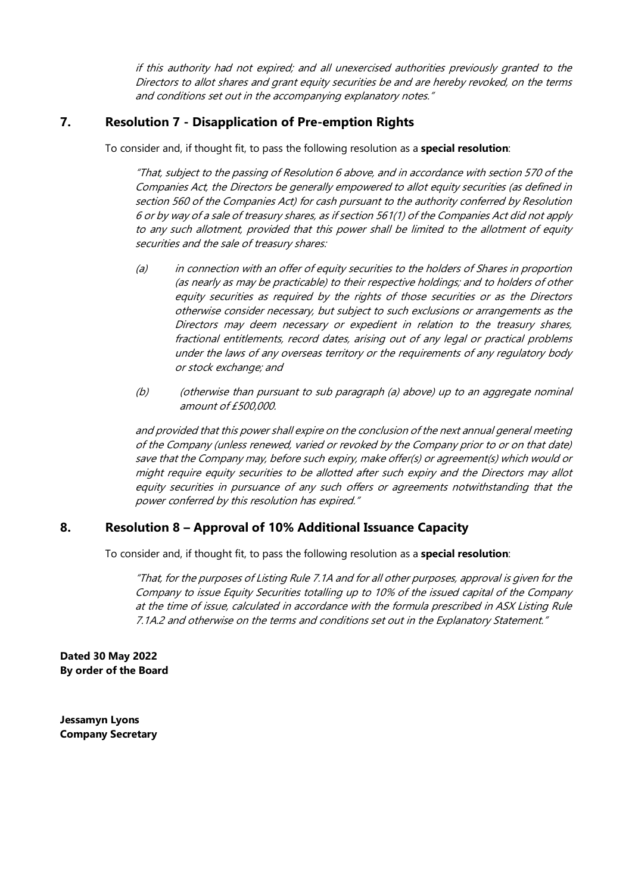if this authority had not expired; and all unexercised authorities previously granted to the Directors to allot shares and grant equity securities be and are hereby revoked, on the terms and conditions set out in the accompanying explanatory notes."

### **7. Resolution 7 - Disapplication of Pre-emption Rights**

To consider and, if thought fit, to pass the following resolution as a **special resolution**:

"That, subject to the passing of Resolution 6 above, and in accordance with section 570 of the Companies Act, the Directors be generally empowered to allot equity securities (as defined in section 560 of the Companies Act) for cash pursuant to the authority conferred by Resolution 6 or by way of a sale of treasury shares, as if section 561(1) of the Companies Act did not apply to any such allotment, provided that this power shall be limited to the allotment of equity securities and the sale of treasury shares:

- (a) in connection with an offer of equity securities to the holders of Shares in proportion (as nearly as may be practicable) to their respective holdings; and to holders of other equity securities as required by the rights of those securities or as the Directors otherwise consider necessary, but subject to such exclusions or arrangements as the Directors may deem necessary or expedient in relation to the treasury shares, fractional entitlements, record dates, arising out of any legal or practical problems under the laws of any overseas territory or the requirements of any regulatory body or stock exchange; and
- (b) (otherwise than pursuant to sub paragraph (a) above) up to an aggregate nominal amount of £500,000.

and provided that this power shall expire on the conclusion of the next annual general meeting of the Company (unless renewed, varied or revoked by the Company prior to or on that date) save that the Company may, before such expiry, make offer(s) or agreement(s) which would or might require equity securities to be allotted after such expiry and the Directors may allot equity securities in pursuance of any such offers or agreements notwithstanding that the power conferred by this resolution has expired."

### **8. Resolution 8 – Approval of 10% Additional Issuance Capacity**

To consider and, if thought fit, to pass the following resolution as a **special resolution**:

"That, for the purposes of Listing Rule 7.1A and for all other purposes, approval is given for the Company to issue Equity Securities totalling up to 10% of the issued capital of the Company at the time of issue, calculated in accordance with the formula prescribed in ASX Listing Rule 7.1A.2 and otherwise on the terms and conditions set out in the Explanatory Statement."

**Dated 30 May 2022 By order of the Board**

**Jessamyn Lyons Company Secretary**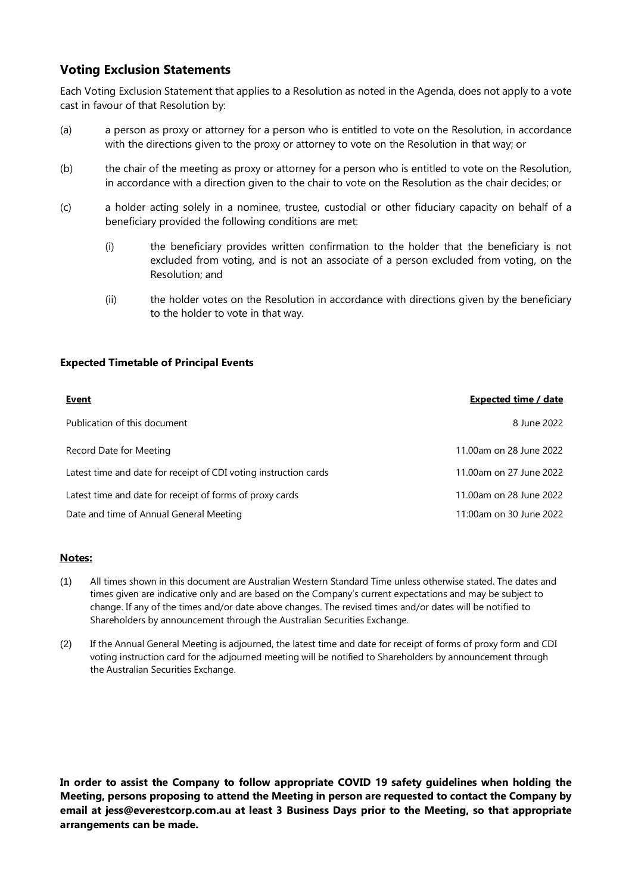### **Voting Exclusion Statements**

Each Voting Exclusion Statement that applies to a Resolution as noted in the Agenda, does not apply to a vote cast in favour of that Resolution by:

- (a) a person as proxy or attorney for a person who is entitled to vote on the Resolution, in accordance with the directions given to the proxy or attorney to vote on the Resolution in that way; or
- (b) the chair of the meeting as proxy or attorney for a person who is entitled to vote on the Resolution, in accordance with a direction given to the chair to vote on the Resolution as the chair decides; or
- (c) a holder acting solely in a nominee, trustee, custodial or other fiduciary capacity on behalf of a beneficiary provided the following conditions are met:
	- (i) the beneficiary provides written confirmation to the holder that the beneficiary is not excluded from voting, and is not an associate of a person excluded from voting, on the Resolution; and
	- (ii) the holder votes on the Resolution in accordance with directions given by the beneficiary to the holder to vote in that way.

#### **Expected Timetable of Principal Events**

| <b>Event</b>                                                     | <b>Expected time / date</b> |
|------------------------------------------------------------------|-----------------------------|
| Publication of this document                                     | 8 June 2022                 |
| Record Date for Meeting                                          | 11.00am on 28 June 2022     |
| Latest time and date for receipt of CDI voting instruction cards | 11.00am on 27 June 2022     |
| Latest time and date for receipt of forms of proxy cards         | 11.00am on 28 June 2022     |
| Date and time of Annual General Meeting                          | 11:00am on 30 June 2022     |

#### **Notes:**

- (1) All times shown in this document are Australian Western Standard Time unless otherwise stated. The dates and times given are indicative only and are based on the Company's current expectations and may be subject to change. If any of the times and/or date above changes. The revised times and/or dates will be notified to Shareholders by announcement through the Australian Securities Exchange.
- (2) If the Annual General Meeting is adjourned, the latest time and date for receipt of forms of proxy form and CDI voting instruction card for the adjourned meeting will be notified to Shareholders by announcement through the Australian Securities Exchange.

**In order to assist the Company to follow appropriate COVID 19 safety guidelines when holding the Meeting, persons proposing to attend the Meeting in person are requested to contact the Company by email at jess@everestcorp.com.au at least 3 Business Days prior to the Meeting, so that appropriate arrangements can be made.**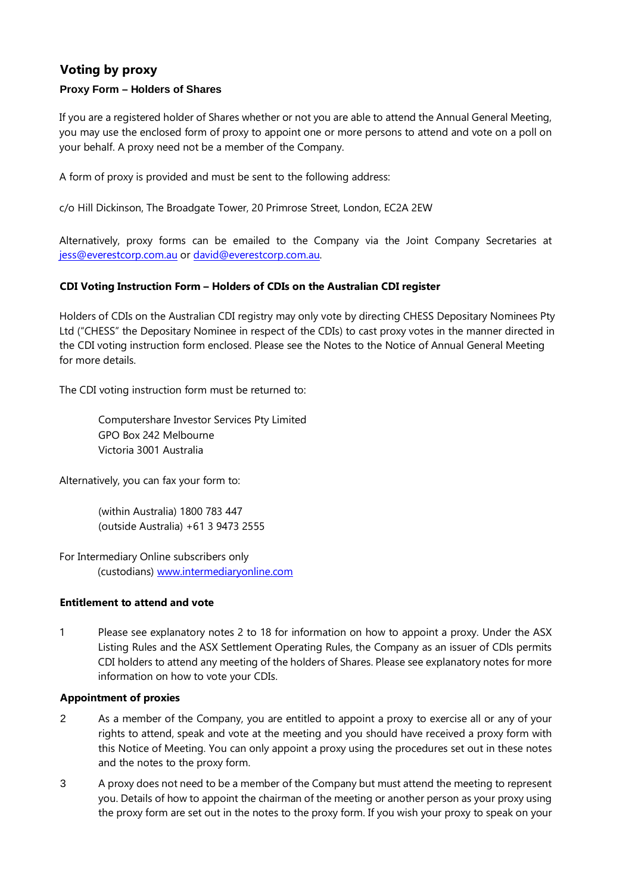## **Voting by proxy**

### **Proxy Form – Holders of Shares**

If you are a registered holder of Shares whether or not you are able to attend the Annual General Meeting, you may use the enclosed form of proxy to appoint one or more persons to attend and vote on a poll on your behalf. A proxy need not be a member of the Company.

A form of proxy is provided and must be sent to the following address:

c/o Hill Dickinson, The Broadgate Tower, 20 Primrose Street, London, EC2A 2EW

Alternatively, proxy forms can be emailed to the Company via the Joint Company Secretaries at jess@everestcorp.com.au or david@everestcorp.com.au.

### **CDI Voting Instruction Form – Holders of CDIs on the Australian CDI register**

Holders of CDIs on the Australian CDI registry may only vote by directing CHESS Depositary Nominees Pty Ltd ("CHESS" the Depositary Nominee in respect of the CDIs) to cast proxy votes in the manner directed in the CDI voting instruction form enclosed. Please see the Notes to the Notice of Annual General Meeting for more details.

The CDI voting instruction form must be returned to:

Computershare Investor Services Pty Limited GPO Box 242 Melbourne Victoria 3001 Australia

Alternatively, you can fax your form to:

(within Australia) 1800 783 447 (outside Australia) +61 3 9473 2555

For Intermediary Online subscribers only (custodians) [www.intermediaryonline.com](https://urldefense.proofpoint.com/v2/url?u=http-3A__www.intermediaryonline.com&d=DwQFAg&c=vgc7_vOYmgImobMVdyKsCY1rdGZhhtCa2JetijQZAG0&r=wbprPm0slvwkAdH9VBbayEtjwU5fcp2_3yyJkvSshE0&m=vE5MFhXVI3OSvugWVostIsbQNKxLHKNyXSpr4nfI0fA&s=19S9W4YMdBPNsRxvYZqv77V4fsOtJJ3hakSInQq_DNc&e=)

### **Entitlement to attend and vote**

1 Please see explanatory notes 2 to 18 for information on how to appoint a proxy. Under the ASX Listing Rules and the ASX Settlement Operating Rules, the Company as an issuer of CDls permits CDI holders to attend any meeting of the holders of Shares. Please see explanatory notes for more information on how to vote your CDIs.

### **Appointment of proxies**

- 2 As a member of the Company, you are entitled to appoint a proxy to exercise all or any of your rights to attend, speak and vote at the meeting and you should have received a proxy form with this Notice of Meeting. You can only appoint a proxy using the procedures set out in these notes and the notes to the proxy form.
- 3 A proxy does not need to be a member of the Company but must attend the meeting to represent you. Details of how to appoint the chairman of the meeting or another person as your proxy using the proxy form are set out in the notes to the proxy form. If you wish your proxy to speak on your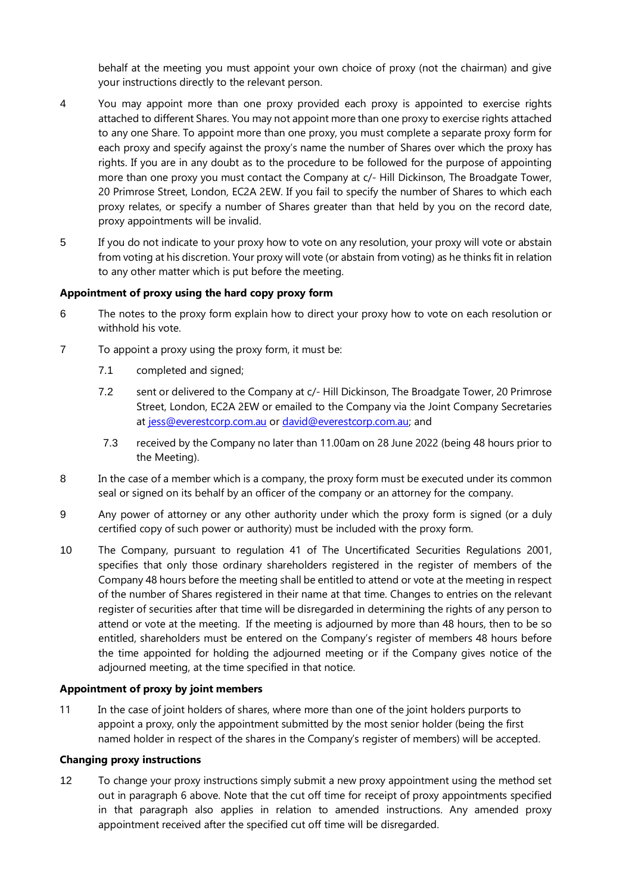behalf at the meeting you must appoint your own choice of proxy (not the chairman) and give your instructions directly to the relevant person.

- 4 You may appoint more than one proxy provided each proxy is appointed to exercise rights attached to different Shares. You may not appoint more than one proxy to exercise rights attached to any one Share. To appoint more than one proxy, you must complete a separate proxy form for each proxy and specify against the proxy's name the number of Shares over which the proxy has rights. If you are in any doubt as to the procedure to be followed for the purpose of appointing more than one proxy you must contact the Company at c/- Hill Dickinson, The Broadgate Tower, 20 Primrose Street, London, EC2A 2EW. If you fail to specify the number of Shares to which each proxy relates, or specify a number of Shares greater than that held by you on the record date, proxy appointments will be invalid.
- 5 If you do not indicate to your proxy how to vote on any resolution, your proxy will vote or abstain from voting at his discretion. Your proxy will vote (or abstain from voting) as he thinks fit in relation to any other matter which is put before the meeting.

#### **Appointment of proxy using the hard copy proxy form**

- 6 The notes to the proxy form explain how to direct your proxy how to vote on each resolution or withhold his vote.
- 7 To appoint a proxy using the proxy form, it must be:
	- 7.1 completed and signed;
	- 7.2 sent or delivered to the Company at c/- Hill Dickinson, The Broadgate Tower, 20 Primrose Street, London, EC2A 2EW or emailed to the Company via the Joint Company Secretaries at jess@everestcorp.com.au or david@everestcorp.com.au; and
	- 7.3 received by the Company no later than 11.00am on 28 June 2022 (being 48 hours prior to the Meeting).
- 8 In the case of a member which is a company, the proxy form must be executed under its common seal or signed on its behalf by an officer of the company or an attorney for the company.
- 9 Any power of attorney or any other authority under which the proxy form is signed (or a duly certified copy of such power or authority) must be included with the proxy form.
- 10 The Company, pursuant to regulation 41 of The Uncertificated Securities Regulations 2001, specifies that only those ordinary shareholders registered in the register of members of the Company 48 hours before the meeting shall be entitled to attend or vote at the meeting in respect of the number of Shares registered in their name at that time. Changes to entries on the relevant register of securities after that time will be disregarded in determining the rights of any person to attend or vote at the meeting. If the meeting is adjourned by more than 48 hours, then to be so entitled, shareholders must be entered on the Company's register of members 48 hours before the time appointed for holding the adjourned meeting or if the Company gives notice of the adjourned meeting, at the time specified in that notice.

#### **Appointment of proxy by joint members**

11 In the case of joint holders of shares, where more than one of the joint holders purports to appoint a proxy, only the appointment submitted by the most senior holder (being the first named holder in respect of the shares in the Company's register of members) will be accepted.

#### **Changing proxy instructions**

12 To change your proxy instructions simply submit a new proxy appointment using the method set out in paragraph 6 above. Note that the cut off time for receipt of proxy appointments specified in that paragraph also applies in relation to amended instructions. Any amended proxy appointment received after the specified cut off time will be disregarded.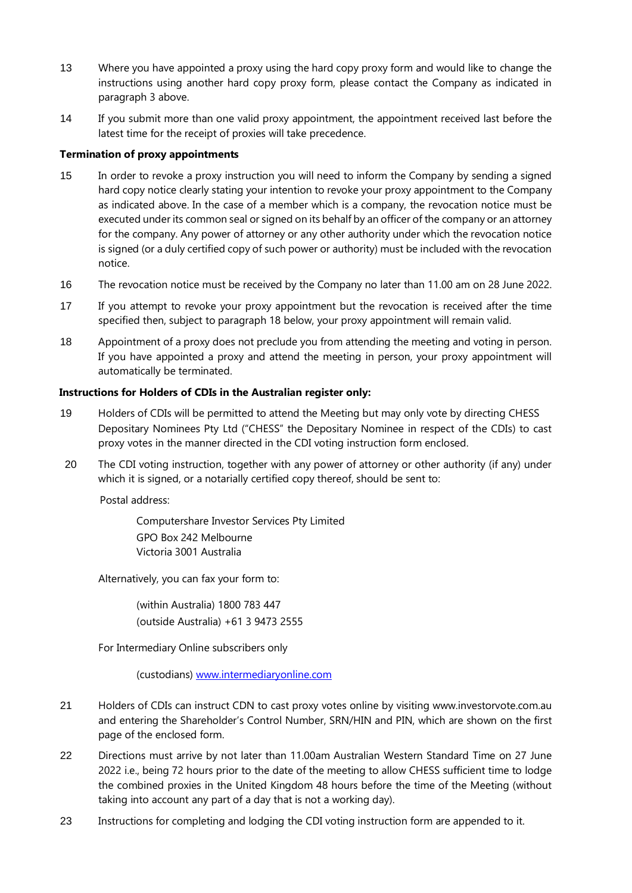- 13 Where you have appointed a proxy using the hard copy proxy form and would like to change the instructions using another hard copy proxy form, please contact the Company as indicated in paragraph 3 above.
- 14 If you submit more than one valid proxy appointment, the appointment received last before the latest time for the receipt of proxies will take precedence.

### **Termination of proxy appointments**

- 15 In order to revoke a proxy instruction you will need to inform the Company by sending a signed hard copy notice clearly stating your intention to revoke your proxy appointment to the Company as indicated above. In the case of a member which is a company, the revocation notice must be executed under its common seal or signed on its behalf by an officer of the company or an attorney for the company. Any power of attorney or any other authority under which the revocation notice is signed (or a duly certified copy of such power or authority) must be included with the revocation notice.
- 16 The revocation notice must be received by the Company no later than 11.00 am on 28 June 2022.
- 17 If you attempt to revoke your proxy appointment but the revocation is received after the time specified then, subject to paragraph 18 below, your proxy appointment will remain valid.
- 18 Appointment of a proxy does not preclude you from attending the meeting and voting in person. If you have appointed a proxy and attend the meeting in person, your proxy appointment will automatically be terminated.

### **Instructions for Holders of CDIs in the Australian register only:**

- 19 Holders of CDIs will be permitted to attend the Meeting but may only vote by directing CHESS Depositary Nominees Pty Ltd ("CHESS" the Depositary Nominee in respect of the CDIs) to cast proxy votes in the manner directed in the CDI voting instruction form enclosed.
- 20 The CDI voting instruction, together with any power of attorney or other authority (if any) under which it is signed, or a notarially certified copy thereof, should be sent to:

Postal address:

Computershare Investor Services Pty Limited GPO Box 242 Melbourne Victoria 3001 Australia

Alternatively, you can fax your form to:

(within Australia) 1800 783 447 (outside Australia) +61 3 9473 2555

For Intermediary Online subscribers only

(custodians) [www.intermediaryonline.com](https://urldefense.proofpoint.com/v2/url?u=http-3A__www.intermediaryonline.com&d=DwQFAg&c=vgc7_vOYmgImobMVdyKsCY1rdGZhhtCa2JetijQZAG0&r=wbprPm0slvwkAdH9VBbayEtjwU5fcp2_3yyJkvSshE0&m=vE5MFhXVI3OSvugWVostIsbQNKxLHKNyXSpr4nfI0fA&s=19S9W4YMdBPNsRxvYZqv77V4fsOtJJ3hakSInQq_DNc&e=)

- 21 Holders of CDIs can instruct CDN to cast proxy votes online by visiting www.investorvote.com.au and entering the Shareholder's Control Number, SRN/HIN and PIN, which are shown on the first page of the enclosed form.
- 22 Directions must arrive by not later than 11.00am Australian Western Standard Time on 27 June 2022 i.e., being 72 hours prior to the date of the meeting to allow CHESS sufficient time to lodge the combined proxies in the United Kingdom 48 hours before the time of the Meeting (without taking into account any part of a day that is not a working day).
- 23 Instructions for completing and lodging the CDI voting instruction form are appended to it.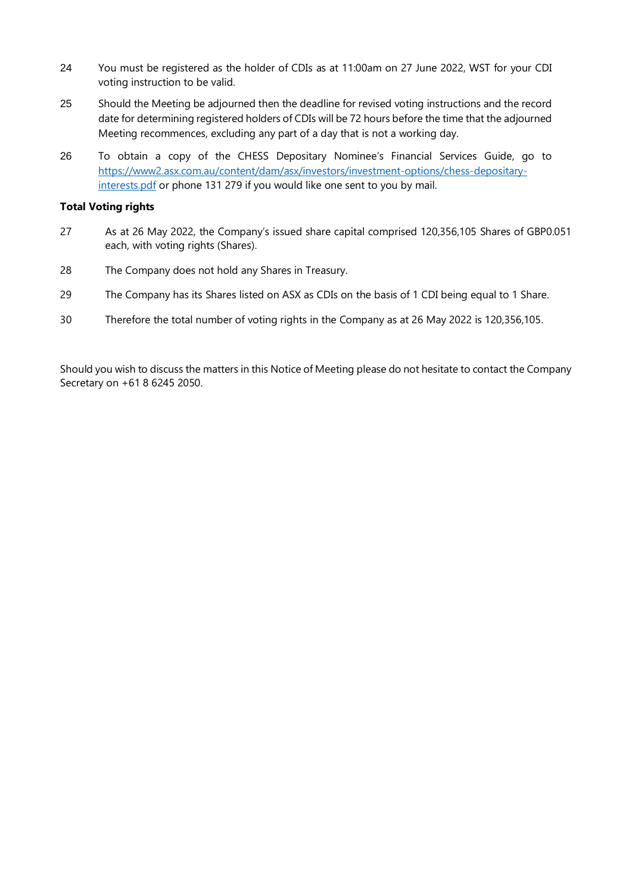- 24 You must be registered as the holder of CDIs as at 11:00am on 27 June 2022, WST for your CDI voting instruction to be valid.
- 25 Should the Meeting be adjourned then the deadline for revised voting instructions and the record date for determining registered holders of CDIs will be 72 hours before the time that the adjourned Meeting recommences, excluding any part of a day that is not a working day.
- 26 To obtain a copy of the CHESS Depositary Nominee's Financial Services Guide, go to [https://www2.asx.com.au/content/dam/asx/investors/investment-options/chess-depositary](https://www2.asx.com.au/content/dam/asx/investors/investment-options/chess-depositary-interests.pdf)[interests.pdf](https://www2.asx.com.au/content/dam/asx/investors/investment-options/chess-depositary-interests.pdf) or phone 131 279 if you would like one sent to you by mail.

#### **Total Voting rights**

- 27 As at 26 May 2022, the Company's issued share capital comprised 120,356,105 Shares of GBP0.051 each, with voting rights (Shares).
- 28 The Company does not hold any Shares in Treasury.
- 29 The Company has its Shares listed on ASX as CDIs on the basis of 1 CDI being equal to 1 Share.
- 30 Therefore the total number of voting rights in the Company as at 26 May 2022 is 120,356,105.

Should you wish to discuss the matters in this Notice of Meeting please do not hesitate to contact the Company Secretary on +61 8 6245 2050.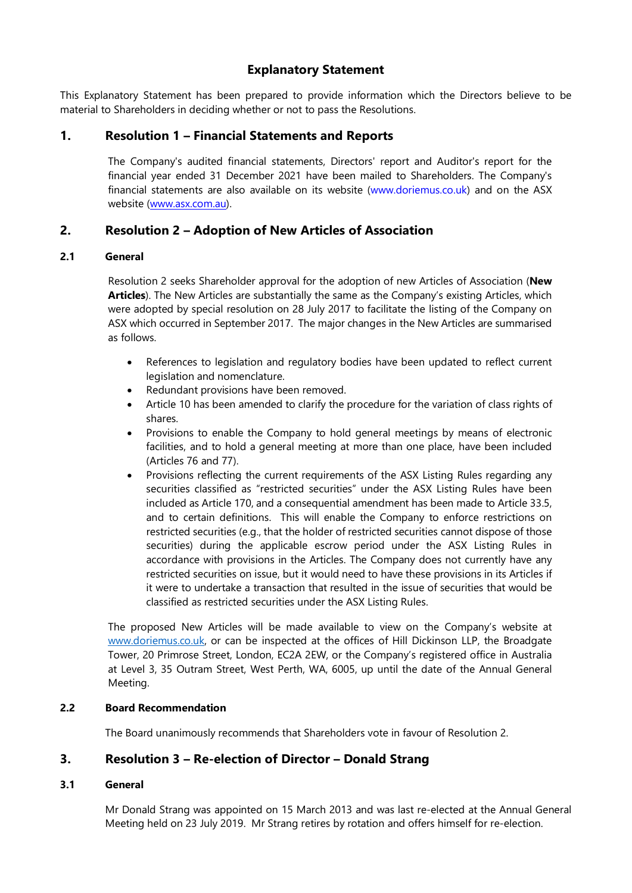### **Explanatory Statement**

This Explanatory Statement has been prepared to provide information which the Directors believe to be material to Shareholders in deciding whether or not to pass the Resolutions.

### **1. Resolution 1 – Financial Statements and Reports**

The Company's audited financial statements, Directors' report and Auditor's report for the financial year ended 31 December 2021 have been mailed to Shareholders. The Company's financial statements are also available on its website [\(www.doriemus.co.uk\)](http://www.doriemus.co.uk/) and on the ASX website [\(www.asx.com.au\).](http://www.asx.com.au/)

### **2. Resolution 2 – Adoption of New Articles of Association**

### **2.1 General**

Resolution 2 seeks Shareholder approval for the adoption of new Articles of Association (**New Articles**). The New Articles are substantially the same as the Company's existing Articles, which were adopted by special resolution on 28 July 2017 to facilitate the listing of the Company on ASX which occurred in September 2017. The major changes in the New Articles are summarised as follows.

- References to legislation and regulatory bodies have been updated to reflect current legislation and nomenclature.
- Redundant provisions have been removed.
- Article 10 has been amended to clarify the procedure for the variation of class rights of shares.
- Provisions to enable the Company to hold general meetings by means of electronic facilities, and to hold a general meeting at more than one place, have been included (Articles 76 and 77).
- Provisions reflecting the current requirements of the ASX Listing Rules regarding any securities classified as "restricted securities" under the ASX Listing Rules have been included as Article 170, and a consequential amendment has been made to Article 33.5, and to certain definitions. This will enable the Company to enforce restrictions on restricted securities (e.g., that the holder of restricted securities cannot dispose of those securities) during the applicable escrow period under the ASX Listing Rules in accordance with provisions in the Articles. The Company does not currently have any restricted securities on issue, but it would need to have these provisions in its Articles if it were to undertake a transaction that resulted in the issue of securities that would be classified as restricted securities under the ASX Listing Rules.

The proposed New Articles will be made available to view on the Company's website at [www.doriemus.co.uk,](http://www.doriemus.co.uk/) or can be inspected at the offices of Hill Dickinson LLP, the Broadgate Tower, 20 Primrose Street, London, EC2A 2EW, or the Company's registered office in Australia at Level 3, 35 Outram Street, West Perth, WA, 6005, up until the date of the Annual General Meeting.

### **2.2 Board Recommendation**

The Board unanimously recommends that Shareholders vote in favour of Resolution 2.

### **3. Resolution 3 – Re-election of Director – Donald Strang**

### **3.1 General**

Mr Donald Strang was appointed on 15 March 2013 and was last re-elected at the Annual General Meeting held on 23 July 2019. Mr Strang retires by rotation and offers himself for re-election.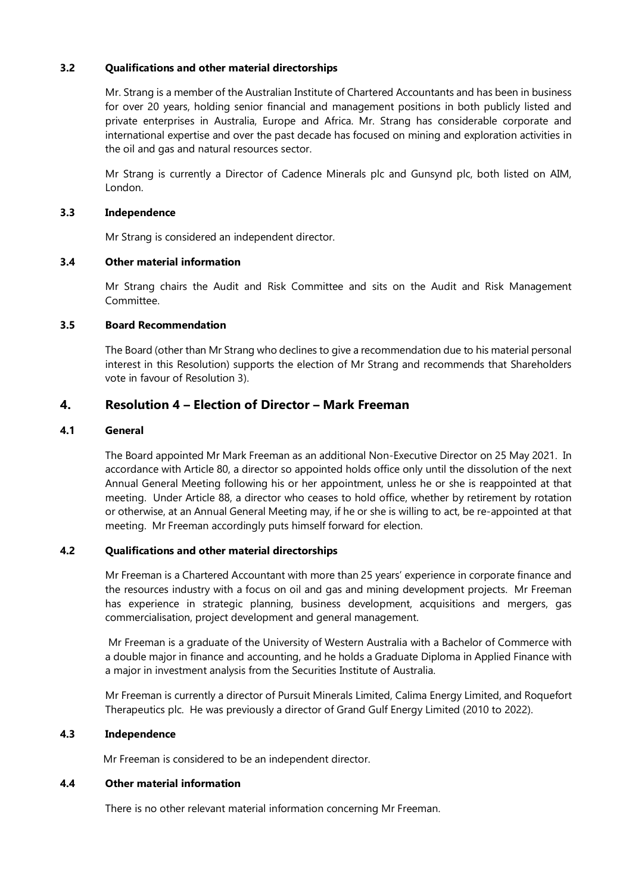### **3.2 Qualifications and other material directorships**

Mr. Strang is a member of the Australian Institute of Chartered Accountants and has been in business for over 20 years, holding senior financial and management positions in both publicly listed and private enterprises in Australia, Europe and Africa. Mr. Strang has considerable corporate and international expertise and over the past decade has focused on mining and exploration activities in the oil and gas and natural resources sector.

Mr Strang is currently a Director of Cadence Minerals plc and Gunsynd plc, both listed on AIM, London.

#### **3.3 Independence**

Mr Strang is considered an independent director.

#### **3.4 Other material information**

Mr Strang chairs the Audit and Risk Committee and sits on the Audit and Risk Management Committee.

#### **3.5 Board Recommendation**

The Board (other than Mr Strang who declines to give a recommendation due to his material personal interest in this Resolution) supports the election of Mr Strang and recommends that Shareholders vote in favour of Resolution 3).

### **4. Resolution 4 – Election of Director – Mark Freeman**

#### **4.1 General**

The Board appointed Mr Mark Freeman as an additional Non-Executive Director on 25 May 2021. In accordance with Article 80, a director so appointed holds office only until the dissolution of the next Annual General Meeting following his or her appointment, unless he or she is reappointed at that meeting. Under Article 88, a director who ceases to hold office, whether by retirement by rotation or otherwise, at an Annual General Meeting may, if he or she is willing to act, be re-appointed at that meeting. Mr Freeman accordingly puts himself forward for election.

#### **4.2 Qualifications and other material directorships**

Mr Freeman is a Chartered Accountant with more than 25 years' experience in corporate finance and the resources industry with a focus on oil and gas and mining development projects. Mr Freeman has experience in strategic planning, business development, acquisitions and mergers, gas commercialisation, project development and general management.

Mr Freeman is a graduate of the University of Western Australia with a Bachelor of Commerce with a double major in finance and accounting, and he holds a Graduate Diploma in Applied Finance with a major in investment analysis from the Securities Institute of Australia.

Mr Freeman is currently a director of Pursuit Minerals Limited, Calima Energy Limited, and Roquefort Therapeutics plc. He was previously a director of Grand Gulf Energy Limited (2010 to 2022).

#### **4.3 Independence**

Mr Freeman is considered to be an independent director.

#### **4.4 Other material information**

There is no other relevant material information concerning Mr Freeman.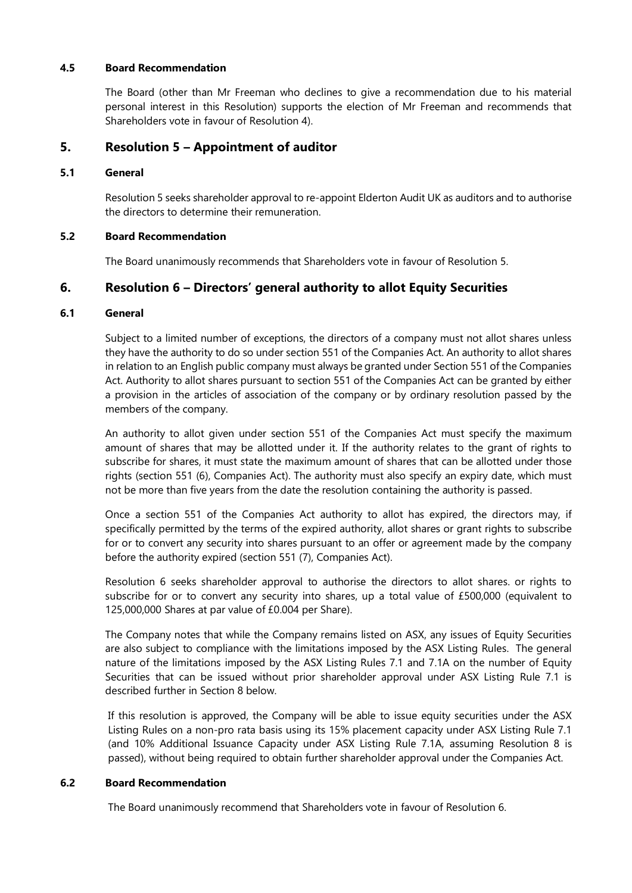#### **4.5 Board Recommendation**

The Board (other than Mr Freeman who declines to give a recommendation due to his material personal interest in this Resolution) supports the election of Mr Freeman and recommends that Shareholders vote in favour of Resolution 4).

### **5. Resolution 5 – Appointment of auditor**

### **5.1 General**

Resolution 5 seeks shareholder approval to re-appoint Elderton Audit UK as auditors and to authorise the directors to determine their remuneration.

### **5.2 Board Recommendation**

The Board unanimously recommends that Shareholders vote in favour of Resolution 5.

### **6. Resolution 6 – Directors' general authority to allot Equity Securities**

### **6.1 General**

Subject to a limited number of exceptions, the directors of a company must not allot shares unless they have the authority to do so under section 551 of the Companies Act. An authority to allot shares in relation to an English public company must always be granted under Section 551 of the Companies Act. Authority to allot shares pursuant to section 551 of the Companies Act can be granted by either a provision in the articles of association of the company or by ordinary resolution passed by the members of the company.

An authority to allot given under section 551 of the Companies Act must specify the maximum amount of shares that may be allotted under it. If the authority relates to the grant of rights to subscribe for shares, it must state the maximum amount of shares that can be allotted under those rights (section 551 (6), Companies Act). The authority must also specify an expiry date, which must not be more than five years from the date the resolution containing the authority is passed.

Once a section 551 of the Companies Act authority to allot has expired, the directors may, if specifically permitted by the terms of the expired authority, allot shares or grant rights to subscribe for or to convert any security into shares pursuant to an offer or agreement made by the company before the authority expired (section 551 (7), Companies Act).

Resolution 6 seeks shareholder approval to authorise the directors to allot shares. or rights to subscribe for or to convert any security into shares, up a total value of £500,000 (equivalent to 125,000,000 Shares at par value of £0.004 per Share).

The Company notes that while the Company remains listed on ASX, any issues of Equity Securities are also subject to compliance with the limitations imposed by the ASX Listing Rules. The general nature of the limitations imposed by the ASX Listing Rules 7.1 and 7.1A on the number of Equity Securities that can be issued without prior shareholder approval under ASX Listing Rule 7.1 is described further in Section 8 below.

If this resolution is approved, the Company will be able to issue equity securities under the ASX Listing Rules on a non-pro rata basis using its 15% placement capacity under ASX Listing Rule 7.1 (and 10% Additional Issuance Capacity under ASX Listing Rule 7.1A, assuming Resolution 8 is passed), without being required to obtain further shareholder approval under the Companies Act.

#### **6.2 Board Recommendation**

The Board unanimously recommend that Shareholders vote in favour of Resolution 6.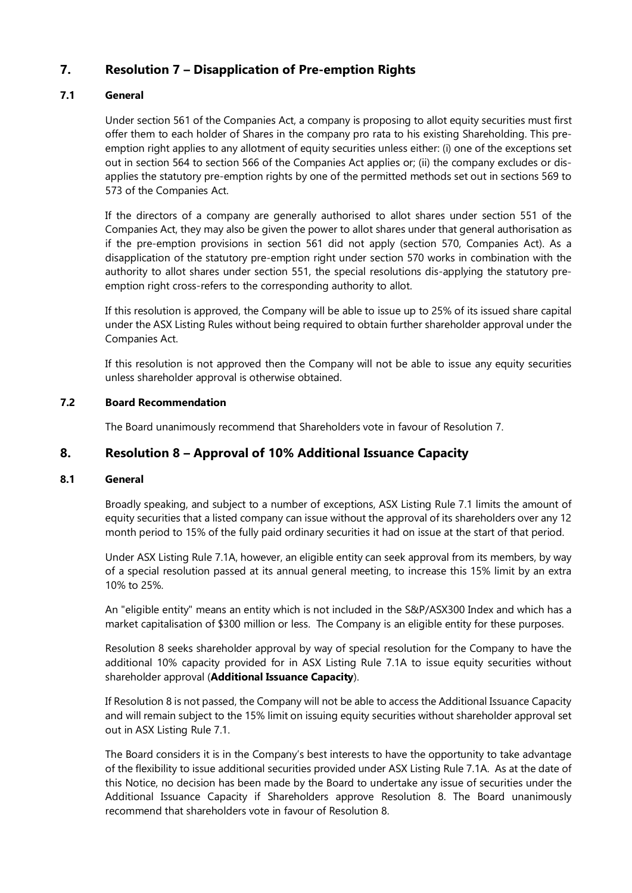## **7. Resolution 7 – Disapplication of Pre-emption Rights**

### **7.1 General**

Under section 561 of the Companies Act, a company is proposing to allot equity securities must first offer them to each holder of Shares in the company pro rata to his existing Shareholding. This preemption right applies to any allotment of equity securities unless either: (i) one of the exceptions set out in section 564 to section 566 of the Companies Act applies or; (ii) the company excludes or disapplies the statutory pre-emption rights by one of the permitted methods set out in sections 569 to 573 of the Companies Act.

If the directors of a company are generally authorised to allot shares under section 551 of the Companies Act, they may also be given the power to allot shares under that general authorisation as if the pre-emption provisions in section 561 did not apply (section 570, Companies Act). As a disapplication of the statutory pre-emption right under section 570 works in combination with the authority to allot shares under section 551, the special resolutions dis-applying the statutory preemption right cross-refers to the corresponding authority to allot.

If this resolution is approved, the Company will be able to issue up to 25% of its issued share capital under the ASX Listing Rules without being required to obtain further shareholder approval under the Companies Act.

If this resolution is not approved then the Company will not be able to issue any equity securities unless shareholder approval is otherwise obtained.

### **7.2 Board Recommendation**

The Board unanimously recommend that Shareholders vote in favour of Resolution 7.

### **8. Resolution 8 – Approval of 10% Additional Issuance Capacity**

#### **8.1 General**

Broadly speaking, and subject to a number of exceptions, ASX Listing Rule 7.1 limits the amount of equity securities that a listed company can issue without the approval of its shareholders over any 12 month period to 15% of the fully paid ordinary securities it had on issue at the start of that period.

Under ASX Listing Rule 7.1A, however, an eligible entity can seek approval from its members, by way of a special resolution passed at its annual general meeting, to increase this 15% limit by an extra 10% to 25%.

An "eligible entity" means an entity which is not included in the S&P/ASX300 Index and which has a market capitalisation of \$300 million or less. The Company is an eligible entity for these purposes.

Resolution 8 seeks shareholder approval by way of special resolution for the Company to have the additional 10% capacity provided for in ASX Listing Rule 7.1A to issue equity securities without shareholder approval (**Additional Issuance Capacity**).

If Resolution 8 is not passed, the Company will not be able to access the Additional Issuance Capacity and will remain subject to the 15% limit on issuing equity securities without shareholder approval set out in ASX Listing Rule 7.1.

The Board considers it is in the Company's best interests to have the opportunity to take advantage of the flexibility to issue additional securities provided under ASX Listing Rule 7.1A. As at the date of this Notice, no decision has been made by the Board to undertake any issue of securities under the Additional Issuance Capacity if Shareholders approve Resolution 8. The Board unanimously recommend that shareholders vote in favour of Resolution 8.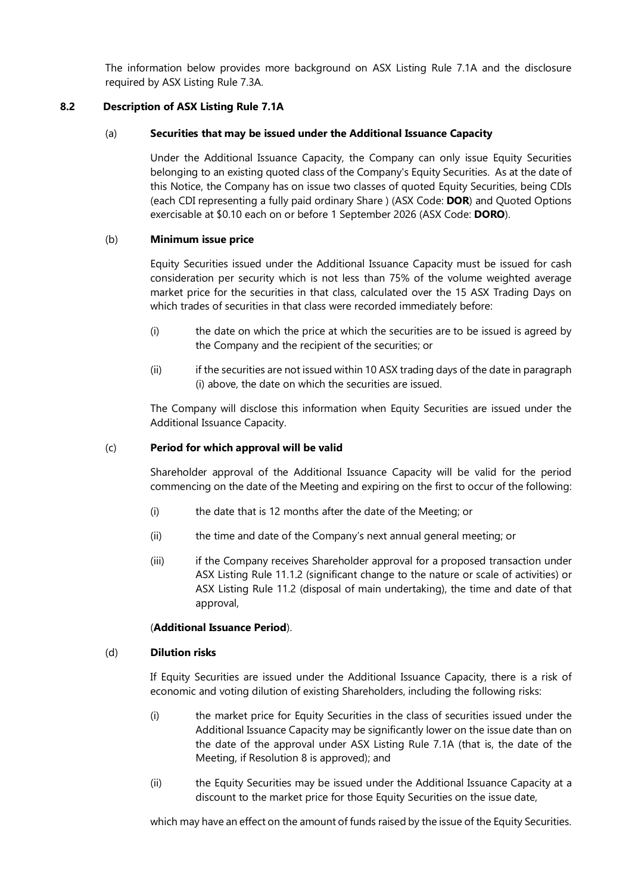The information below provides more background on ASX Listing Rule 7.1A and the disclosure required by ASX Listing Rule 7.3A.

#### **8.2 Description of ASX Listing Rule 7.1A**

#### (a) **Securities that may be issued under the Additional Issuance Capacity**

Under the Additional Issuance Capacity, the Company can only issue Equity Securities belonging to an existing quoted class of the Company's Equity Securities. As at the date of this Notice, the Company has on issue two classes of quoted Equity Securities, being CDIs (each CDI representing a fully paid ordinary Share ) (ASX Code: **DOR**) and Quoted Options exercisable at \$0.10 each on or before 1 September 2026 (ASX Code: **DORO**).

### (b) **Minimum issue price**

Equity Securities issued under the Additional Issuance Capacity must be issued for cash consideration per security which is not less than 75% of the volume weighted average market price for the securities in that class, calculated over the 15 ASX Trading Days on which trades of securities in that class were recorded immediately before:

- (i) the date on which the price at which the securities are to be issued is agreed by the Company and the recipient of the securities; or
- (ii) if the securities are not issued within 10 ASX trading days of the date in paragraph (i) above, the date on which the securities are issued.

The Company will disclose this information when Equity Securities are issued under the Additional Issuance Capacity.

#### (c) **Period for which approval will be valid**

Shareholder approval of the Additional Issuance Capacity will be valid for the period commencing on the date of the Meeting and expiring on the first to occur of the following:

- (i) the date that is 12 months after the date of the Meeting; or
- (ii) the time and date of the Company's next annual general meeting; or
- (iii) if the Company receives Shareholder approval for a proposed transaction under ASX Listing Rule 11.1.2 (significant change to the nature or scale of activities) or ASX Listing Rule 11.2 (disposal of main undertaking), the time and date of that approval,

#### (**Additional Issuance Period**).

#### (d) **Dilution risks**

If Equity Securities are issued under the Additional Issuance Capacity, there is a risk of economic and voting dilution of existing Shareholders, including the following risks:

- (i) the market price for Equity Securities in the class of securities issued under the Additional Issuance Capacity may be significantly lower on the issue date than on the date of the approval under ASX Listing Rule 7.1A (that is, the date of the Meeting, if Resolution 8 is approved); and
- (ii) the Equity Securities may be issued under the Additional Issuance Capacity at a discount to the market price for those Equity Securities on the issue date,

which may have an effect on the amount of funds raised by the issue of the Equity Securities.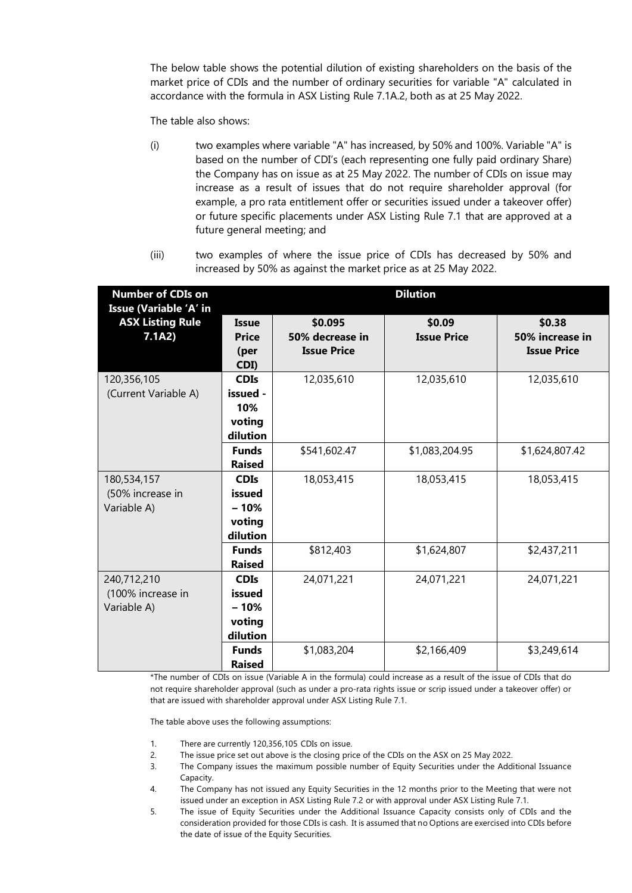The below table shows the potential dilution of existing shareholders on the basis of the market price of CDIs and the number of ordinary securities for variable "A" calculated in accordance with the formula in ASX Listing Rule 7.1A.2, both as at 25 May 2022.

The table also shows:

- (i) two examples where variable "A" has increased, by 50% and 100%. Variable "A" is based on the number of CDI's (each representing one fully paid ordinary Share) the Company has on issue as at 25 May 2022. The number of CDIs on issue may increase as a result of issues that do not require shareholder approval (for example, a pro rata entitlement offer or securities issued under a takeover offer) or future specific placements under ASX Listing Rule 7.1 that are approved at a future general meeting; and
- (iii) two examples of where the issue price of CDIs has decreased by 50% and increased by 50% as against the market price as at 25 May 2022.

| <b>Number of CDIs on</b><br><b>Issue (Variable 'A' in</b> | <b>Dilution</b>                                       |                                                  |                              |                                                 |  |  |  |  |  |
|-----------------------------------------------------------|-------------------------------------------------------|--------------------------------------------------|------------------------------|-------------------------------------------------|--|--|--|--|--|
| <b>ASX Listing Rule</b><br>7.1A2)                         | Issue<br><b>Price</b><br>(per<br>CDI)                 | \$0.095<br>50% decrease in<br><b>Issue Price</b> | \$0.09<br><b>Issue Price</b> | \$0.38<br>50% increase in<br><b>Issue Price</b> |  |  |  |  |  |
| 120,356,105<br>(Current Variable A)                       | <b>CDIs</b><br>issued -<br>10%<br>voting<br>dilution  | 12,035,610                                       | 12,035,610                   | 12,035,610                                      |  |  |  |  |  |
|                                                           | <b>Funds</b><br><b>Raised</b>                         | \$541,602.47                                     | \$1,083,204.95               | \$1,624,807.42                                  |  |  |  |  |  |
| 180,534,157<br>(50% increase in<br>Variable A)            | <b>CDIs</b><br>issued<br>$-10%$<br>voting<br>dilution | 18,053,415                                       | 18,053,415                   | 18,053,415                                      |  |  |  |  |  |
|                                                           | <b>Funds</b><br><b>Raised</b>                         | \$812,403                                        | \$1,624,807                  | \$2,437,211                                     |  |  |  |  |  |
| 240,712,210<br>(100% increase in<br>Variable A)           | <b>CDIs</b><br>issued<br>$-10%$<br>voting<br>dilution | 24,071,221                                       | 24,071,221                   | 24,071,221                                      |  |  |  |  |  |
|                                                           | <b>Funds</b><br><b>Raised</b>                         | \$1,083,204                                      | \$2,166,409                  | \$3,249,614                                     |  |  |  |  |  |

\*The number of CDIs on issue (Variable A in the formula) could increase as a result of the issue of CDIs that do not require shareholder approval (such as under a pro-rata rights issue or scrip issued under a takeover offer) or that are issued with shareholder approval under ASX Listing Rule 7.1.

The table above uses the following assumptions:

- 1. There are currently 120,356,105 CDIs on issue.
- 2. The issue price set out above is the closing price of the CDIs on the ASX on 25 May 2022.
- 3. The Company issues the maximum possible number of Equity Securities under the Additional Issuance Capacity.
- 4. The Company has not issued any Equity Securities in the 12 months prior to the Meeting that were not issued under an exception in ASX Listing Rule 7.2 or with approval under ASX Listing Rule 7.1.
- 5. The issue of Equity Securities under the Additional Issuance Capacity consists only of CDIs and the consideration provided for those CDIs is cash. It is assumed that no Options are exercised into CDIs before the date of issue of the Equity Securities.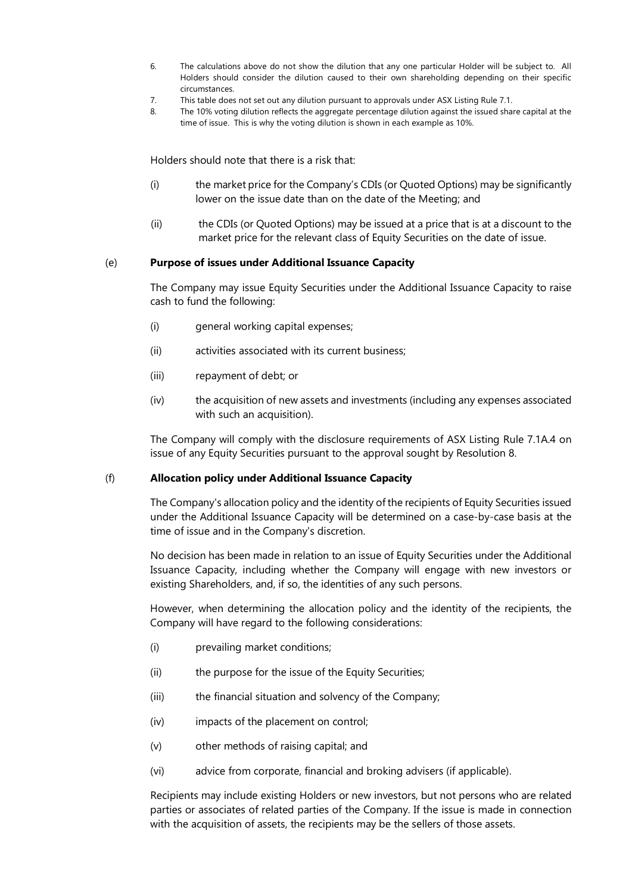- 6. The calculations above do not show the dilution that any one particular Holder will be subject to. All Holders should consider the dilution caused to their own shareholding depending on their specific circumstances.
- 7. This table does not set out any dilution pursuant to approvals under ASX Listing Rule 7.1.
- 8. The 10% voting dilution reflects the aggregate percentage dilution against the issued share capital at the time of issue. This is why the voting dilution is shown in each example as 10%.

Holders should note that there is a risk that:

- (i) the market price for the Company's CDIs (or Quoted Options) may be significantly lower on the issue date than on the date of the Meeting; and
- (ii) the CDIs (or Quoted Options) may be issued at a price that is at a discount to the market price for the relevant class of Equity Securities on the date of issue.

#### (e) **Purpose of issues under Additional Issuance Capacity**

The Company may issue Equity Securities under the Additional Issuance Capacity to raise cash to fund the following:

- (i) general working capital expenses;
- (ii) activities associated with its current business;
- (iii) repayment of debt; or
- (iv) the acquisition of new assets and investments (including any expenses associated with such an acquisition).

The Company will comply with the disclosure requirements of ASX Listing Rule 7.1A.4 on issue of any Equity Securities pursuant to the approval sought by Resolution 8.

#### (f) **Allocation policy under Additional Issuance Capacity**

The Company's allocation policy and the identity of the recipients of Equity Securities issued under the Additional Issuance Capacity will be determined on a case-by-case basis at the time of issue and in the Company's discretion.

No decision has been made in relation to an issue of Equity Securities under the Additional Issuance Capacity, including whether the Company will engage with new investors or existing Shareholders, and, if so, the identities of any such persons.

However, when determining the allocation policy and the identity of the recipients, the Company will have regard to the following considerations:

- (i) prevailing market conditions;
- (ii) the purpose for the issue of the Equity Securities;
- (iii) the financial situation and solvency of the Company;
- (iv) impacts of the placement on control;
- (v) other methods of raising capital; and
- (vi) advice from corporate, financial and broking advisers (if applicable).

Recipients may include existing Holders or new investors, but not persons who are related parties or associates of related parties of the Company. If the issue is made in connection with the acquisition of assets, the recipients may be the sellers of those assets.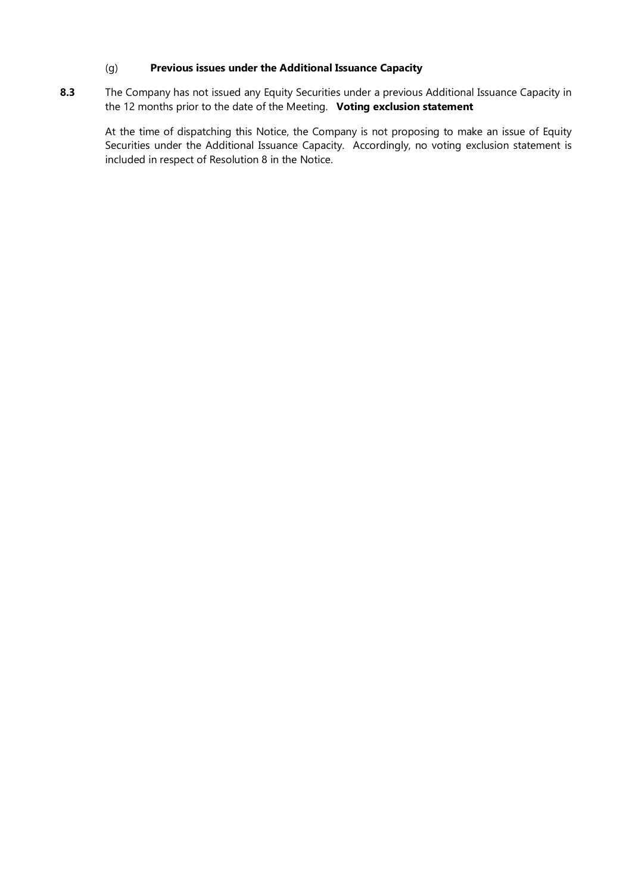### (g) **Previous issues under the Additional Issuance Capacity**

8.3 The Company has not issued any Equity Securities under a previous Additional Issuance Capacity in the 12 months prior to the date of the Meeting. **Voting exclusion statement**

At the time of dispatching this Notice, the Company is not proposing to make an issue of Equity Securities under the Additional Issuance Capacity. Accordingly, no voting exclusion statement is included in respect of Resolution 8 in the Notice.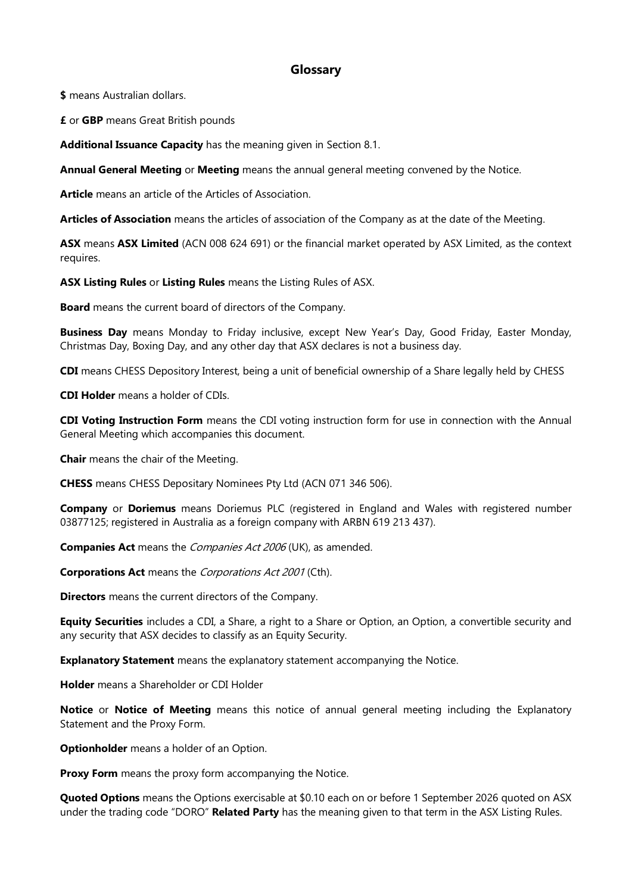### **Glossary**

**\$** means Australian dollars.

**£** or **GBP** means Great British pounds

**Additional Issuance Capacity** has the meaning given in Section 8.1.

**Annual General Meeting** or **Meeting** means the annual general meeting convened by the Notice.

**Article** means an article of the Articles of Association.

**Articles of Association** means the articles of association of the Company as at the date of the Meeting.

**ASX** means **ASX Limited** (ACN 008 624 691) or the financial market operated by ASX Limited, as the context requires.

**ASX Listing Rules** or **Listing Rules** means the Listing Rules of ASX.

**Board** means the current board of directors of the Company.

**Business Day** means Monday to Friday inclusive, except New Year's Day, Good Friday, Easter Monday, Christmas Day, Boxing Day, and any other day that ASX declares is not a business day.

**CDI** means CHESS Depository Interest, being a unit of beneficial ownership of a Share legally held by CHESS

**CDI Holder** means a holder of CDIs.

**CDI Voting Instruction Form** means the CDI voting instruction form for use in connection with the Annual General Meeting which accompanies this document.

**Chair** means the chair of the Meeting.

**CHESS** means CHESS Depositary Nominees Pty Ltd (ACN 071 346 506).

**Company** or **Doriemus** means Doriemus PLC (registered in England and Wales with registered number 03877125; registered in Australia as a foreign company with ARBN 619 213 437).

**Companies Act** means the Companies Act 2006 (UK), as amended.

**Corporations Act** means the Corporations Act 2001 (Cth).

**Directors** means the current directors of the Company.

**Equity Securities** includes a CDI, a Share, a right to a Share or Option, an Option, a convertible security and any security that ASX decides to classify as an Equity Security.

**Explanatory Statement** means the explanatory statement accompanying the Notice.

**Holder** means a Shareholder or CDI Holder

**Notice** or **Notice of Meeting** means this notice of annual general meeting including the Explanatory Statement and the Proxy Form.

**Optionholder** means a holder of an Option.

**Proxy Form** means the proxy form accompanying the Notice.

**Quoted Options** means the Options exercisable at \$0.10 each on or before 1 September 2026 quoted on ASX under the trading code "DORO" **Related Party** has the meaning given to that term in the ASX Listing Rules.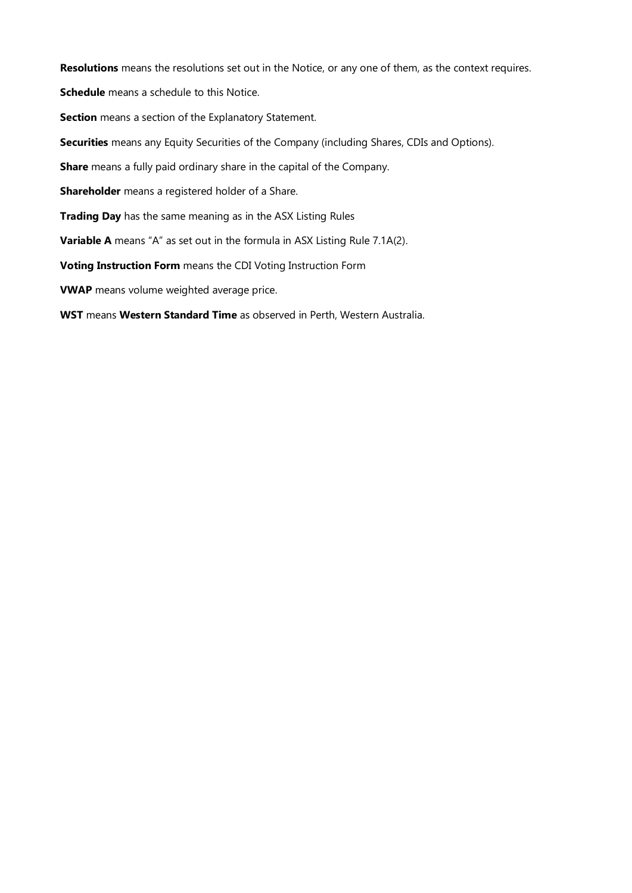**Resolutions** means the resolutions set out in the Notice, or any one of them, as the context requires.

**Schedule** means a schedule to this Notice.

**Section** means a section of the Explanatory Statement.

**Securities** means any Equity Securities of the Company (including Shares, CDIs and Options).

**Share** means a fully paid ordinary share in the capital of the Company.

**Shareholder** means a registered holder of a Share.

**Trading Day** has the same meaning as in the ASX Listing Rules

**Variable A** means "A" as set out in the formula in ASX Listing Rule 7.1A(2).

**Voting Instruction Form** means the CDI Voting Instruction Form

**VWAP** means volume weighted average price.

**WST** means **Western Standard Time** as observed in Perth, Western Australia.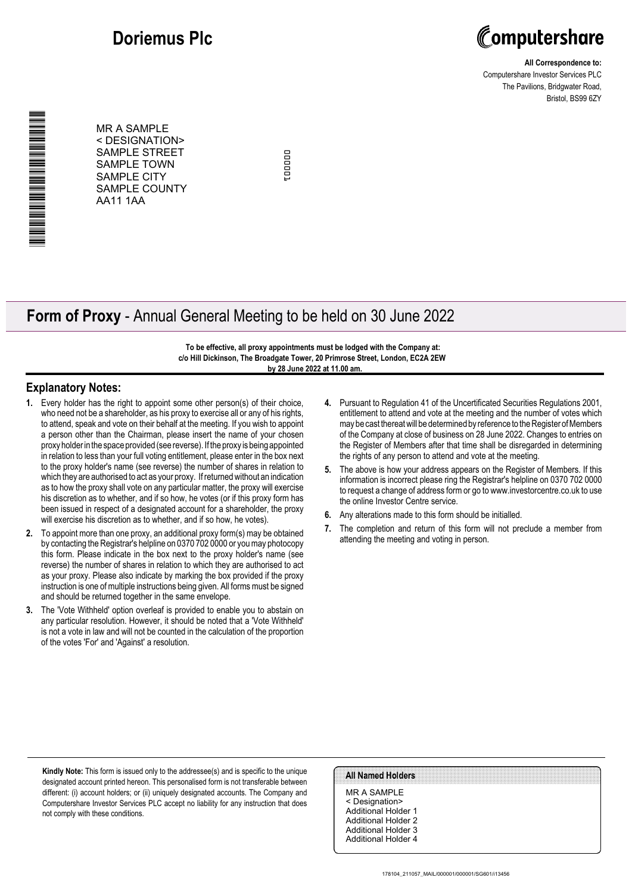## **Doriemus Plc**



**All Correspondence to:** Computershare Investor Services PLC The Pavilions, Bridgwater Road, Bristol, BS99 6ZY

MR A SAMPLE < DESIGNATION> SAMPLE STREET SAMPLE TOWN SAMPLE CITY SAMPLE COUNTY AA11 1AA

000001nooon:

## **Form of Proxy** - Annual General Meeting to be held on 30 June 2022

**To be effective, all proxy appointments must be lodged with the Company at: c/o Hill Dickinson, The Broadgate Tower, 20 Primrose Street, London, EC2A 2EW by 28 June 2022 at 11.00 am.**

#### **Explanatory Notes:**

\*000001010100T1\*

- **1.** Every holder has the right to appoint some other person(s) of their choice, who need not be a shareholder, as his proxy to exercise all or any of his rights, to attend, speak and vote on their behalf at the meeting. If you wish to appoint a person other than the Chairman, please insert the name of your chosen proxy holder in the space provided (see reverse). If the proxy is being appointed in relation to less than your full voting entitlement, please enter in the box next to the proxy holder's name (see reverse) the number of shares in relation to which they are authorised to act as your proxy. If returned without an indication as to how the proxy shall vote on any particular matter, the proxy will exercise his discretion as to whether, and if so how, he votes (or if this proxy form has been issued in respect of a designated account for a shareholder, the proxy will exercise his discretion as to whether, and if so how, he votes).
- **2.** To appoint more than one proxy, an additional proxy form(s) may be obtained by contacting the Registrar's helpline on 0370 702 0000 or you may photocopy this form. Please indicate in the box next to the proxy holder's name (see reverse) the number of shares in relation to which they are authorised to act as your proxy. Please also indicate by marking the box provided if the proxy instruction is one of multiple instructions being given. All forms must be signed and should be returned together in the same envelope.
- **3.** The 'Vote Withheld' option overleaf is provided to enable you to abstain on any particular resolution. However, it should be noted that a 'Vote Withheld' is not a vote in law and will not be counted in the calculation of the proportion of the votes 'For' and 'Against' a resolution.
- **4.** Pursuant to Regulation 41 of the Uncertificated Securities Regulations 2001, entitlement to attend and vote at the meeting and the number of votes which may be cast thereat will be determined by reference to the Register of Members of the Company at close of business on 28 June 2022. Changes to entries on the Register of Members after that time shall be disregarded in determining the rights of any person to attend and vote at the meeting.
- **5.** The above is how your address appears on the Register of Members. If this information is incorrect please ring the Registrar's helpline on 0370 702 0000 to request a change of address form or go to www.investorcentre.co.uk to use the online Investor Centre service.
- **6.** Any alterations made to this form should be initialled.
- **7.** The completion and return of this form will not preclude a member from attending the meeting and voting in person.

**Kindly Note:** This form is issued only to the addressee(s) and is specific to the unique designated account printed hereon. This personalised form is not transferable between different: (i) account holders; or (ii) uniquely designated accounts. The Company and Computershare Investor Services PLC accept no liability for any instruction that does not comply with these conditions.

#### **All Named Holders**

MR A SAMPLE < Designation> Additional Holder 1 Additional Holder 2 Additional Holder 3 Additional Holder 4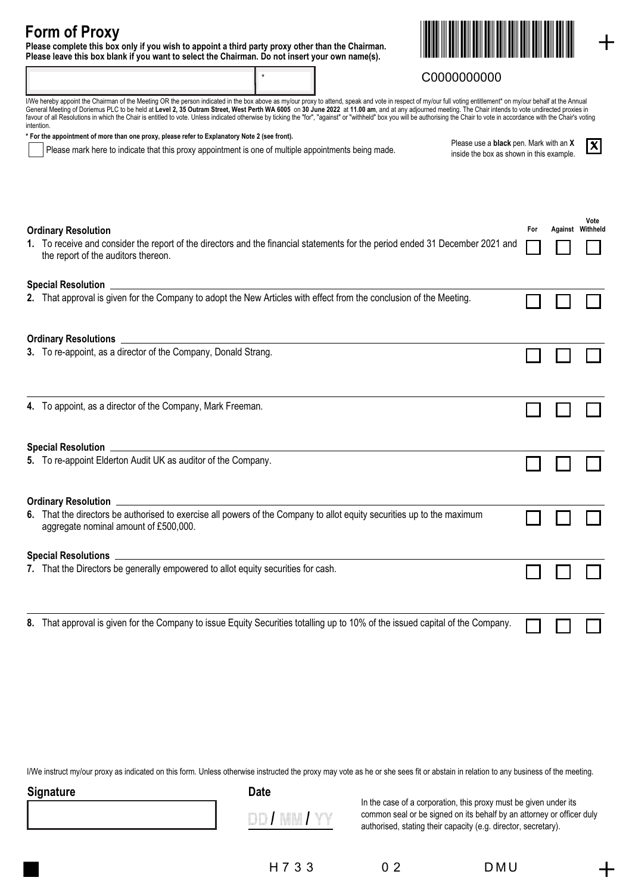## **Form of Proxy**

**Please complete this box only if you wish to appoint a third party proxy other than the Chairman. Please leave this box blank if you want to select the Chairman. Do not insert your own name(s).**



### C0000000000

| I/We hereby appoint the Chairman of the Meeting OR the person indicated in the box above as my/our proxy to attend, speak and vote in respect of my/our full voting entitlement* on my/our behalf at the Annual<br>General Meeting of Doriemus PLC to be held at Level 2, 35 Outram Street, West Perth WA 6005 on 30 June 2022 at 11.00 am, and at any adjourned meeting. The Chair intends to vote undirected proxies in<br>favour of all Resolutions in which the Chair is entitled to vote. Unless indicated otherwise by ticking the "for", "against" or "withheld" box you will be authorising the Chair's vote in accordance with the Chair's voting<br>intention. |                                                                                                                      |
|--------------------------------------------------------------------------------------------------------------------------------------------------------------------------------------------------------------------------------------------------------------------------------------------------------------------------------------------------------------------------------------------------------------------------------------------------------------------------------------------------------------------------------------------------------------------------------------------------------------------------------------------------------------------------|----------------------------------------------------------------------------------------------------------------------|
| * For the appointment of more than one proxy, please refer to Explanatory Note 2 (see front).                                                                                                                                                                                                                                                                                                                                                                                                                                                                                                                                                                            |                                                                                                                      |
| Please mark here to indicate that this proxy appointment is one of multiple appointments being made.                                                                                                                                                                                                                                                                                                                                                                                                                                                                                                                                                                     | $\overline{\mathbf{x}}$<br>Please use a <b>black</b> pen. Mark with an X<br>inside the box as shown in this example. |

\*

| Please use a black pen. Mark with an X   |
|------------------------------------------|
| inside the box as shown in this example. |

| <b>Ordinary Resolution</b>                                                                                                                                           | For |  | Vote<br>Against Withheld |
|----------------------------------------------------------------------------------------------------------------------------------------------------------------------|-----|--|--------------------------|
| 1. To receive and consider the report of the directors and the financial statements for the period ended 31 December 2021 and<br>the report of the auditors thereon. |     |  |                          |
|                                                                                                                                                                      |     |  |                          |
| 2. That approval is given for the Company to adopt the New Articles with effect from the conclusion of the Meeting.                                                  |     |  |                          |
|                                                                                                                                                                      |     |  |                          |
| 3. To re-appoint, as a director of the Company, Donald Strang.                                                                                                       |     |  |                          |
| 4. To appoint, as a director of the Company, Mark Freeman.                                                                                                           |     |  |                          |
| Special Resolution <b>Constitution Constitution Constitution Constitution Constitution</b>                                                                           |     |  |                          |
| 5. To re-appoint Elderton Audit UK as auditor of the Company.                                                                                                        |     |  |                          |
|                                                                                                                                                                      |     |  |                          |
| 6. That the directors be authorised to exercise all powers of the Company to allot equity securities up to the maximum<br>aggregate nominal amount of £500,000.      |     |  |                          |
|                                                                                                                                                                      |     |  |                          |
| 7. That the Directors be generally empowered to allot equity securities for cash.                                                                                    |     |  |                          |
|                                                                                                                                                                      |     |  |                          |
| 8. That approval is given for the Company to issue Equity Securities totalling up to 10% of the issued capital of the Company.                                       |     |  |                          |

I/We instruct my/our proxy as indicated on this form. Unless otherwise instructed the proxy may vote as he or she sees fit or abstain in relation to any business of the meeting.

| Signature | <b>Date</b>                                       |
|-----------|---------------------------------------------------|
|           | $-0.0005$<br>š<br>3<br>meritti<br><b>Standard</b> |

DD / MM /

In the case of a corporation, this proxy must be given under its common seal or be signed on its behalf by an attorney or officer duly authorised, stating their capacity (e.g. director, secretary).

H 7 3 3 0 2 D M U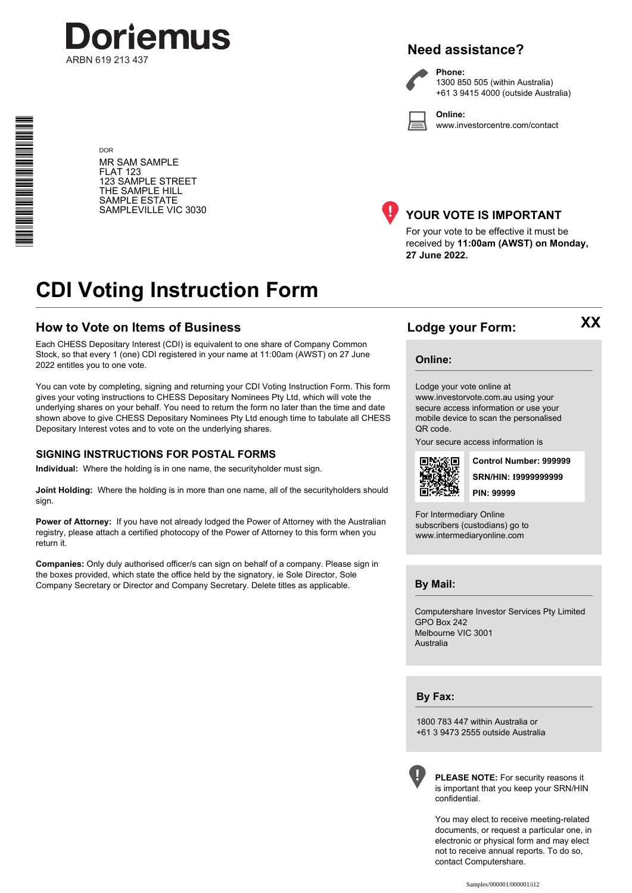

## **Need assistance?**

**Phone:**

**Online:**

1300 850 505 (within Australia) +61 3 9415 4000 (outside Australia)

www.investorcentre.com/contact

**DOR** MR SAM SAMPLE FLAT 123 123 SAMPLE STREET THE SAMPLE HILL SAMPLE ESTATE SAMPLEVILLE VIC 3030

\* S0000112<br>S0000112<br>S0000112

**THE REAL PROPERTY AND RELEASE** 



### **YOUR VOTE IS IMPORTANT**

For your vote to be effective it must be received by **11:00am (AWST) on Monday, 27 June 2022.**

## **CDI Voting Instruction Form**

### **How to Vote on Items of Business**

Each CHESS Depositary Interest (CDI) is equivalent to one share of Company Common Stock, so that every 1 (one) CDI registered in your name at 11:00am (AWST) on 27 June 2022 entitles you to one vote.

You can vote by completing, signing and returning your CDI Voting Instruction Form. This form gives your voting instructions to CHESS Depositary Nominees Pty Ltd, which will vote the underlying shares on your behalf. You need to return the form no later than the time and date shown above to give CHESS Depositary Nominees Pty Ltd enough time to tabulate all CHESS Depositary Interest votes and to vote on the underlying shares.

#### **SIGNING INSTRUCTIONS FOR POSTAL FORMS**

**Individual:** Where the holding is in one name, the securityholder must sign.

**Joint Holding:** Where the holding is in more than one name, all of the securityholders should sign.

Power of Attorney: If you have not already lodged the Power of Attorney with the Australian registry, please attach a certified photocopy of the Power of Attorney to this form when you return it.

**Companies:** Only duly authorised officer/s can sign on behalf of a company. Please sign in the boxes provided, which state the office held by the signatory, ie Sole Director, Sole Company Secretary or Director and Company Secretary. Delete titles as applicable.

### **Lodge your Form:**

**XX**

#### **Online:**

#### Lodge your vote online at

www.investorvote.com.au using your secure access information or use your mobile device to scan the personalised QR code.

Your secure access information is



**SRN/HIN: I9999999999 Control Number: 999999 PIN: 99999**

For Intermediary Online subscribers (custodians) go to www.intermediaryonline.com

**By Mail:**

Computershare Investor Services Pty Limited GPO Box 242 Melbourne VIC 3001 Australia

**By Fax:**

1800 783 447 within Australia or +61 3 9473 2555 outside Australia



**PLEASE NOTE:** For security reasons it is important that you keep your SRN/HIN confidential.

You may elect to receive meeting-related documents, or request a particular one, in electronic or physical form and may elect not to receive annual reports. To do so, contact Computershare.